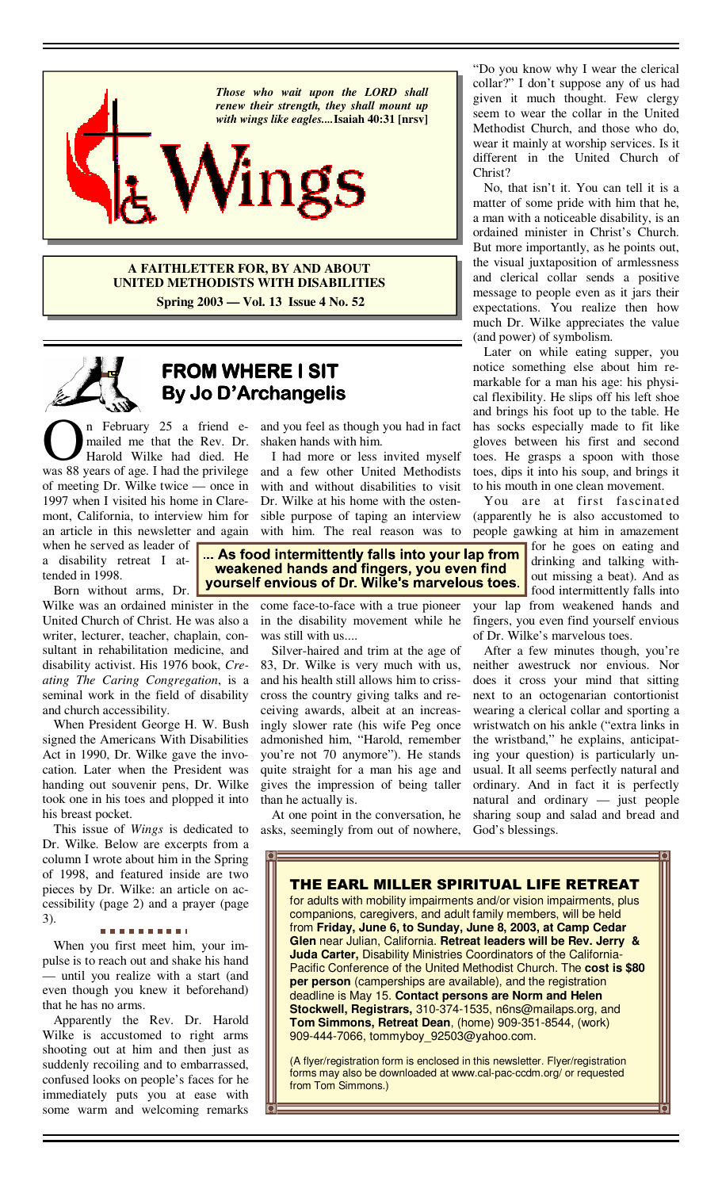

**A FAITHLETTER FOR, BY AND ABOUT UNITED METHODISTS WITH DISABILITIES Spring 2003 — Vol. 13 Issue 4 No. 52**

# **FROM WHERE I SIT By Jo D'Archangelis By Jo D'Archangelis Jo D'Archangelis**

 $\sum_{\text{middle}}$  m February 25 a friend e-<br>mailed me that the Rev. Dr.<br>was 88 years of age I had the privilege mailed me that the Rev. Dr. Harold Wilke had died. He was 88 years of age. I had the privilege of meeting Dr. Wilke twice — once in 1997 when I visited his home in Claremont, California, to interview him for an article in this newsletter and again

when he served as leader of a disability retreat I attended in 1998. Born without arms, Dr.

Wilke was an ordained minister in the United Church of Christ. He was also a writer, lecturer, teacher, chaplain, consultant in rehabilitation medicine, and disability activist. His 1976 book, *Creating The Caring Congregation*, is a seminal work in the field of disability and church accessibility.

 When President George H. W. Bush signed the Americans With Disabilities Act in 1990, Dr. Wilke gave the invocation. Later when the President was handing out souvenir pens, Dr. Wilke took one in his toes and plopped it into his breast pocket.

 This issue of *Wings* is dedicated to Dr. Wilke. Below are excerpts from a column I wrote about him in the Spring of 1998, and featured inside are two pieces by Dr. Wilke: an article on accessibility (page 2) and a prayer (page 3).

#### . . . . . . . . . .

 When you first meet him, your impulse is to reach out and shake his hand until you realize with a start (and even though you knew it beforehand) that he has no arms.

 Apparently the Rev. Dr. Harold Wilke is accustomed to right arms shooting out at him and then just as suddenly recoiling and to embarrassed, confused looks on people's faces for he immediately puts you at ease with some warm and welcoming remarks

and you feel as though you had in fact shaken hands with him.

 I had more or less invited myself and a few other United Methodists with and without disabilities to visit Dr. Wilke at his home with the ostensible purpose of taping an interview with him. The real reason was to

... As food intermittently falls into your lap from weakened hands and fingers, you even find yourself envious of Dr. Wilke's marvelous toes.

> come face-to-face with a true pioneer in the disability movement while he was still with us....

> Silver-haired and trim at the age of 83, Dr. Wilke is very much with us, and his health still allows him to crisscross the country giving talks and receiving awards, albeit at an increasingly slower rate (his wife Peg once admonished him, "Harold, remember you're not 70 anymore"). He stands quite straight for a man his age and gives the impression of being taller than he actually is.

> At one point in the conversation, he asks, seemingly from out of nowhere,

"Do you know why I wear the clerical collar?" I don't suppose any of us had given it much thought. Few clergy seem to wear the collar in the United Methodist Church, and those who do, wear it mainly at worship services. Is it different in the United Church of Christ?

 No, that isn't it. You can tell it is a matter of some pride with him that he, a man with a noticeable disability, is an ordained minister in Christ's Church. But more importantly, as he points out, the visual juxtaposition of armlessness and clerical collar sends a positive message to people even as it jars their expectations. You realize then how much Dr. Wilke appreciates the value (and power) of symbolism.

 Later on while eating supper, you notice something else about him remarkable for a man his age: his physical flexibility. He slips off his left shoe and brings his foot up to the table. He has socks especially made to fit like gloves between his first and second toes. He grasps a spoon with those toes, dips it into his soup, and brings it to his mouth in one clean movement.

 You are at first fascinated (apparently he is also accustomed to people gawking at him in amazement

for he goes on eating and drinking and talking without missing a beat). And as food intermittently falls into

your lap from weakened hands and fingers, you even find yourself envious of Dr. Wilke's marvelous toes.

 After a few minutes though, you're neither awestruck nor envious. Nor does it cross your mind that sitting next to an octogenarian contortionist wearing a clerical collar and sporting a wristwatch on his ankle ("extra links in the wristband," he explains, anticipating your question) is particularly unusual. It all seems perfectly natural and ordinary. And in fact it is perfectly natural and ordinary — just people sharing soup and salad and bread and God's blessings.

THE EARL MILLER SPIRITUAL LIFE RETREAT for adults with mobility impairments and/or vision impairments, plus companions, caregivers, and adult family members, will be held from **Friday, June 6, to Sunday, June 8, 2003, at Camp Cedar Glen** near Julian, California. **Retreat leaders will be Rev. Jerry &** 

**Juda Carter,** Disability Ministries Coordinators of the California-Pacific Conference of the United Methodist Church. The **cost is \$80 per person** (camperships are available), and the registration deadline is May 15. **Contact persons are Norm and Helen Stockwell, Registrars,** 310-374-1535, n6ns@mailaps.org, and **Tom Simmons, Retreat Dean**, (home) 909-351-8544, (work) 909-444-7066, tommyboy\_92503@yahoo.com.

(A flyer/registration form is enclosed in this newsletter. Flyer/registration forms may also be downloaded at www.cal-pac-ccdm.org/ or requested from Tom Simmons.)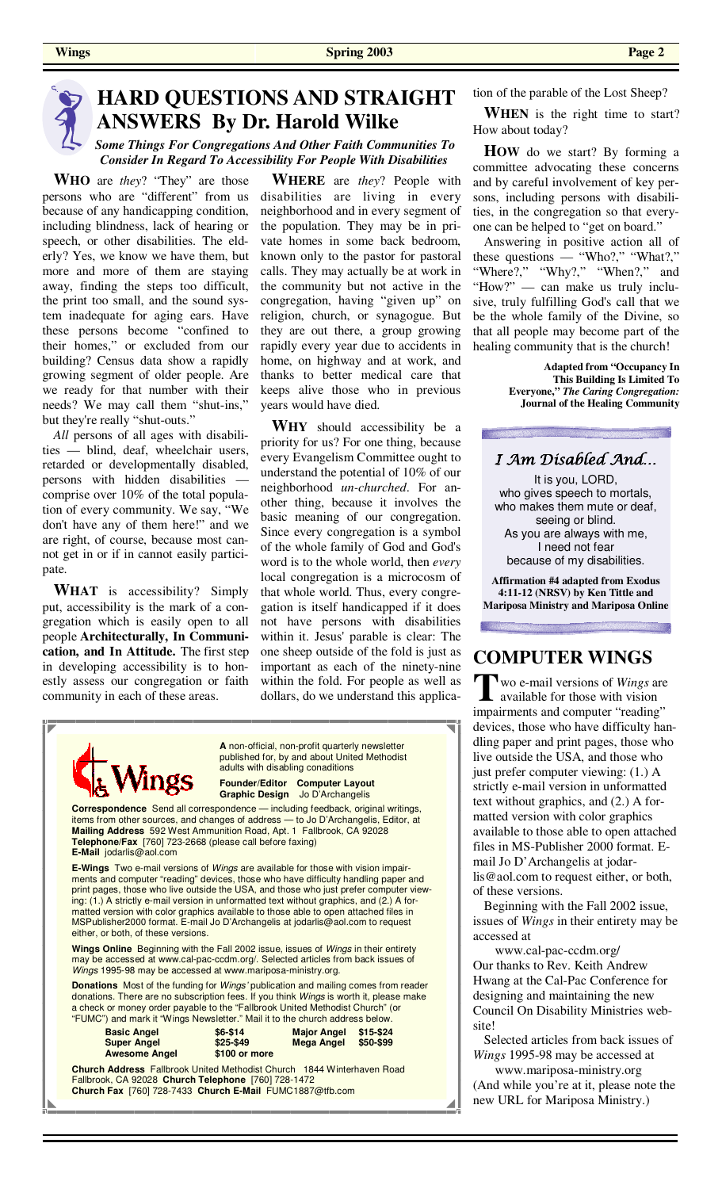

# **HARD QUESTIONS AND STRAIGHT ANSWERS By Dr. Harold Wilke**

 *Some Things For Congregations And Other Faith Communities To Consider In Regard To Accessibility For People With Disabilities* 

 **WHO** are *they*? "They" are those persons who are "different" from us because of any handicapping condition, including blindness, lack of hearing or speech, or other disabilities. The elderly? Yes, we know we have them, but more and more of them are staying away, finding the steps too difficult, the print too small, and the sound system inadequate for aging ears. Have these persons become "confined to their homes," or excluded from our building? Census data show a rapidly growing segment of older people. Are we ready for that number with their needs? We may call them "shut-ins," but they're really "shut-outs."

*All* persons of all ages with disabilities — blind, deaf, wheelchair users, retarded or developmentally disabled, persons with hidden disabilities comprise over 10% of the total population of every community. We say, "We don't have any of them here!" and we are right, of course, because most cannot get in or if in cannot easily participate.

 **WHAT** is accessibility? Simply put, accessibility is the mark of a congregation which is easily open to all people **Architecturally, In Communication, and In Attitude.** The first step in developing accessibility is to honestly assess our congregation or faith community in each of these areas.

 **WHERE** are *they*? People with disabilities are living in every neighborhood and in every segment of the population. They may be in private homes in some back bedroom, known only to the pastor for pastoral calls. They may actually be at work in the community but not active in the congregation, having "given up" on religion, church, or synagogue. But they are out there, a group growing rapidly every year due to accidents in home, on highway and at work, and thanks to better medical care that keeps alive those who in previous years would have died.

 **WHY** should accessibility be a priority for us? For one thing, because every Evangelism Committee ought to understand the potential of 10% of our neighborhood *un-churched*. For another thing, because it involves the basic meaning of our congregation. Since every congregation is a symbol of the whole family of God and God's word is to the whole world, then *every* local congregation is a microcosm of that whole world. Thus, every congregation is itself handicapped if it does not have persons with disabilities within it. Jesus' parable is clear: The one sheep outside of the fold is just as important as each of the ninety-nine within the fold. For people as well as dollars, do we understand this applica-



**Church Address** Fallbrook United Methodist Church 1844 Winterhaven Road Fallbrook, CA 92028 **Church Telephone** [760] 728-1472 **Church Fax** [760] 728-7433 **Church E-Mail** FUMC1887@tfb.com

tion of the parable of the Lost Sheep?

 **WHEN** is the right time to start? How about today?

 **HOW** do we start? By forming a committee advocating these concerns and by careful involvement of key persons, including persons with disabilities, in the congregation so that everyone can be helped to "get on board."

 Answering in positive action all of these questions — "Who?," "What?," "Where?," "Why?," "When?," and "How?" — can make us truly inclusive, truly fulfilling God's call that we be the whole family of the Divine, so that all people may become part of the healing community that is the church!

> **Adapted from "Occupancy In This Building Is Limited To Everyone,"** *The Caring Congregation:* **Journal of the Healing Community**

# I Am Disabled And… It is you, LORD,

who gives speech to mortals, who makes them mute or deaf, seeing or blind. As you are always with me, I need not fear because of my disabilities.

**Affirmation #4 adapted from Exodus 4:11-12 (NRSV) by Ken Tittle and Mariposa Ministry and Mariposa Online**

# **COMPUTER WINGS**

**T** wo e-mail versions of *Wings* are available for those with vision impairments and computer "reading" devices, those who have difficulty handling paper and print pages, those who live outside the USA, and those who just prefer computer viewing: (1.) A strictly e-mail version in unformatted text without graphics, and (2.) A formatted version with color graphics available to those able to open attached files in MS-Publisher 2000 format. Email Jo D'Archangelis at jodarlis@aol.com to request either, or both, of these versions.

 Beginning with the Fall 2002 issue, issues of *Wings* in their entirety may be accessed at

 www.cal-pac-ccdm.org/ Our thanks to Rev. Keith Andrew Hwang at the Cal-Pac Conference for designing and maintaining the new Council On Disability Ministries website!

 Selected articles from back issues of *Wings* 1995-98 may be accessed at

 www.mariposa-ministry.org (And while you're at it, please note the new URL for Mariposa Ministry.)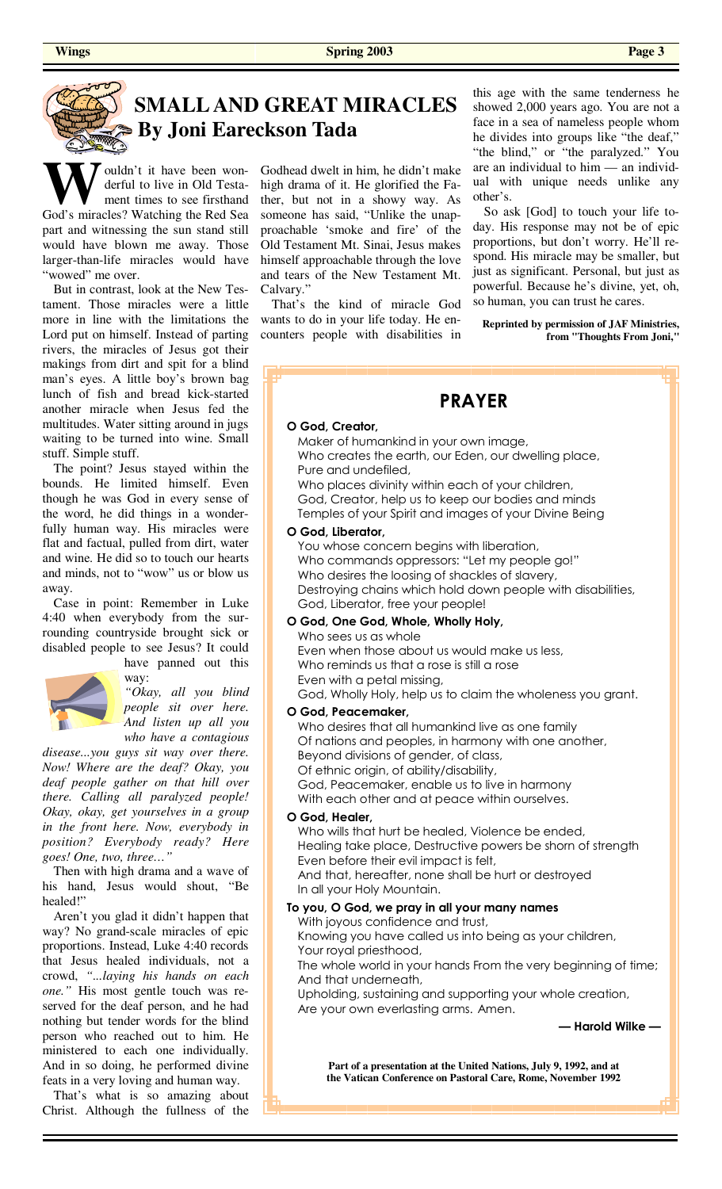

# **SMALL AND GREAT MIRACLES By Joni Eareckson Tada**

W ouldn't it have been won-<br>derful to live in Old Testa-<br>God's miracles? Watching the Red Sea derful to live in Old Testament times to see firsthand part and witnessing the sun stand still would have blown me away. Those larger-than-life miracles would have 'wowed" me over.

 But in contrast, look at the New Testament. Those miracles were a little more in line with the limitations the Lord put on himself. Instead of parting rivers, the miracles of Jesus got their makings from dirt and spit for a blind man's eyes. A little boy's brown bag lunch of fish and bread kick-started another miracle when Jesus fed the multitudes. Water sitting around in jugs waiting to be turned into wine. Small stuff. Simple stuff.

 The point? Jesus stayed within the bounds. He limited himself. Even though he was God in every sense of the word, he did things in a wonderfully human way. His miracles were flat and factual, pulled from dirt, water and wine. He did so to touch our hearts and minds, not to "wow" us or blow us away.

 Case in point: Remember in Luke 4:40 when everybody from the surrounding countryside brought sick or disabled people to see Jesus? It could have panned out this



way: *"Okay, all you blind people sit over here. And listen up all you who have a contagious* 

*disease...you guys sit way over there. Now! Where are the deaf? Okay, you deaf people gather on that hill over there. Calling all paralyzed people! Okay, okay, get yourselves in a group in the front here. Now, everybody in position? Everybody ready? Here goes! One, two, three…"* 

 Then with high drama and a wave of his hand, Jesus would shout, "Be healed!"

 Aren't you glad it didn't happen that way? No grand-scale miracles of epic proportions. Instead, Luke 4:40 records that Jesus healed individuals, not a crowd, *"...laying his hands on each one."* His most gentle touch was reserved for the deaf person, and he had nothing but tender words for the blind person who reached out to him. He ministered to each one individually. And in so doing, he performed divine feats in a very loving and human way.

 That's what is so amazing about Christ. Although the fullness of the

Godhead dwelt in him, he didn't make high drama of it. He glorified the Father, but not in a showy way. As someone has said, "Unlike the unapproachable 'smoke and fire' of the Old Testament Mt. Sinai, Jesus makes himself approachable through the love and tears of the New Testament Mt. Calvary."

 That's the kind of miracle God wants to do in your life today. He encounters people with disabilities in

this age with the same tenderness he showed 2,000 years ago. You are not a face in a sea of nameless people whom he divides into groups like "the deaf," "the blind," or "the paralyzed." You are an individual to him — an individual with unique needs unlike any other's.

 So ask [God] to touch your life today. His response may not be of epic proportions, but don't worry. He'll respond. His miracle may be smaller, but just as significant. Personal, but just as powerful. Because he's divine, yet, oh, so human, you can trust he cares.

**Reprinted by permission of JAF Ministries, from "Thoughts From Joni,"** 

# **PRAYER**

## **O God, Creator,**

 Maker of humankind in your own image, Who creates the earth, our Eden, our dwelling place, Pure and undefiled, Who places divinity within each of your children,

 God, Creator, help us to keep our bodies and minds Temples of your Spirit and images of your Divine Being

## **O God, Liberator,**

 You whose concern begins with liberation, Who commands oppressors: "Let my people go!" Who desires the loosing of shackles of slavery, Destroying chains which hold down people with disabilities, God, Liberator, free your people!

## **O God, One God, Whole, Wholly Holy,**

Who sees us as whole Even when those about us would make us less, Who reminds us that a rose is still a rose Even with a petal missing, God, Wholly Holy, help us to claim the wholeness you grant.

## **O God, Peacemaker,**

 Who desires that all humankind live as one family Of nations and peoples, in harmony with one another, Beyond divisions of gender, of class, Of ethnic origin, of ability/disability, God, Peacemaker, enable us to live in harmony With each other and at peace within ourselves.

## **O God, Healer,**

 Who wills that hurt be healed, Violence be ended, Healing take place, Destructive powers be shorn of strength Even before their evil impact is felt, And that, hereafter, none shall be hurt or destroyed In all your Holy Mountain.

## **To you, O God, we pray in all your many names**

 With joyous confidence and trust, Knowing you have called us into being as your children,

 Your royal priesthood, The whole world in your hands From the very beginning of time; And that underneath,

 Upholding, sustaining and supporting your whole creation, Are your own everlasting arms. Amen.

**— Harold Wilke —**

**Part of a presentation at the United Nations, July 9, 1992, and at the Vatican Conference on Pastoral Care, Rome, November 1992**